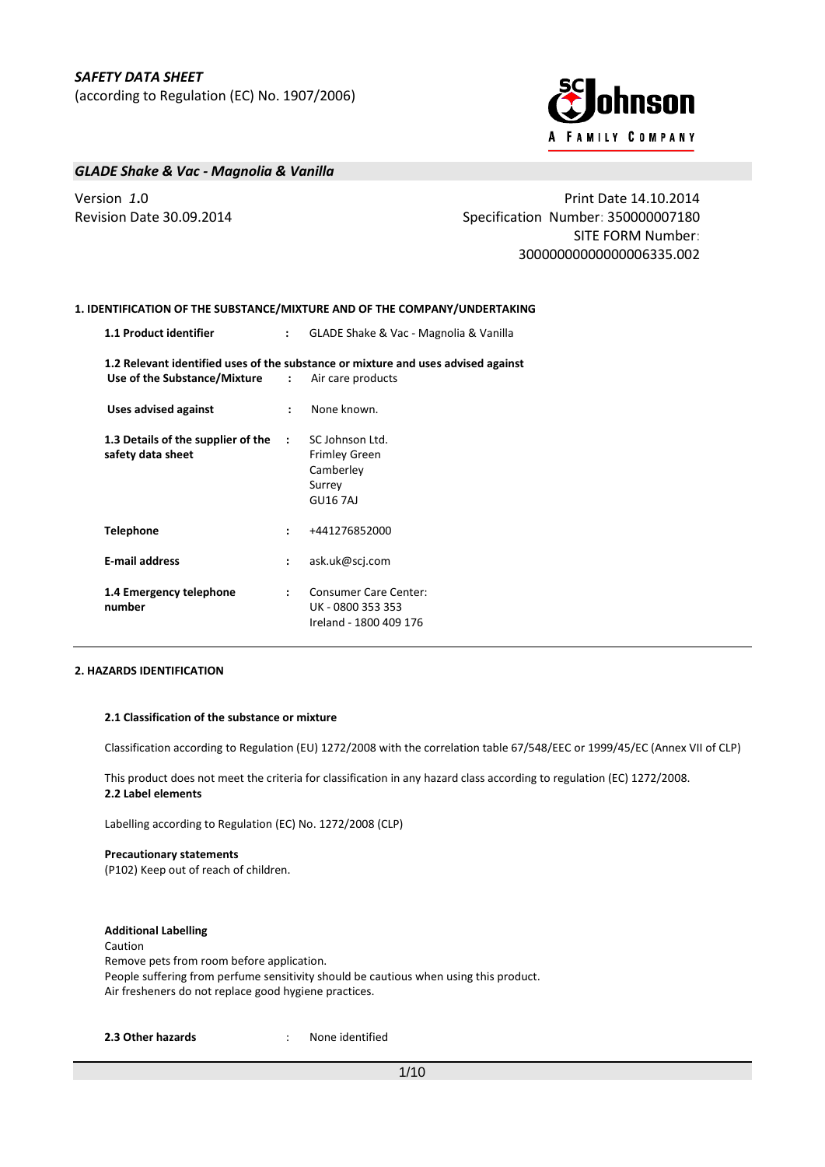

## *GLADE Shake & Vac - Magnolia & Vanilla*

Version *1***.**0 Print Date 14.10.2014 Revision Date 30.09.2014 **Specification Number: 350000007180** Specification Number: 350000007180 SITE FORM Number: 30000000000000006335.002

## **1. IDENTIFICATION OF THE SUBSTANCE/MIXTURE AND OF THE COMPANY/UNDERTAKING**

|                      | GLADE Shake & Vac - Magnolia & Vanilla<br>$\mathbf{r}$                                                                                       |
|----------------------|----------------------------------------------------------------------------------------------------------------------------------------------|
|                      | 1.2 Relevant identified uses of the substance or mixture and uses advised against<br><b>Use of the Substance/Mixture : Air care products</b> |
| $\mathbf{L}$         | None known.                                                                                                                                  |
| $\sim$ 100 $\sim$    | SC Johnson Ltd.<br><b>Frimley Green</b><br>Camberley<br>Surrey<br><b>GU167AJ</b>                                                             |
| $\ddot{\phantom{a}}$ | +441276852000                                                                                                                                |
| $\ddot{\phantom{a}}$ | ask.uk@scj.com                                                                                                                               |
| $\mathbf{r}$         | <b>Consumer Care Center:</b><br>UK - 0800 353 353<br>Ireland - 1800 409 176                                                                  |
|                      |                                                                                                                                              |

## **2. HAZARDS IDENTIFICATION**

#### **2.1 Classification of the substance or mixture**

Classification according to Regulation (EU) 1272/2008 with the correlation table 67/548/EEC or 1999/45/EC (Annex VII of CLP)

This product does not meet the criteria for classification in any hazard class according to regulation (EC) 1272/2008. **2.2 Label elements**

Labelling according to Regulation (EC) No. 1272/2008 (CLP)

### **Precautionary statements**

(P102) Keep out of reach of children.

## **Additional Labelling**

Caution Remove pets from room before application. People suffering from perfume sensitivity should be cautious when using this product. Air fresheners do not replace good hygiene practices.

**2.3 Other hazards** : None identified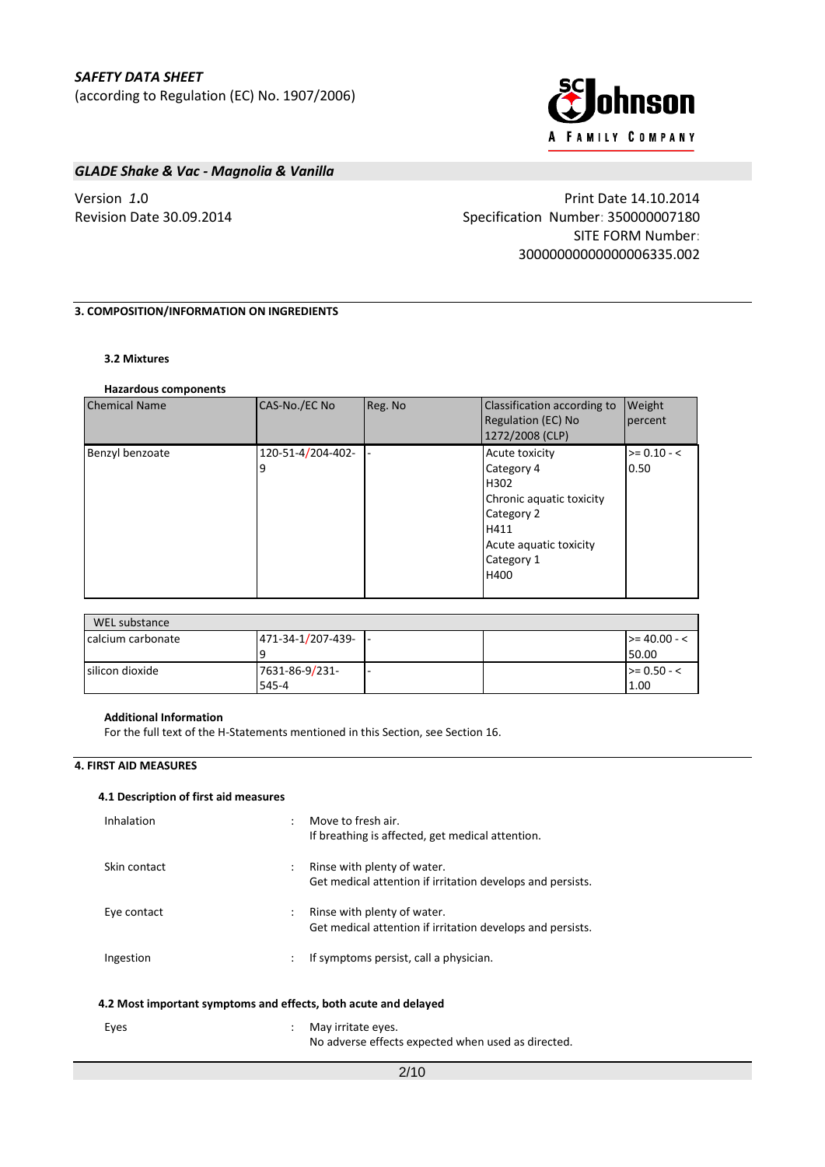

## *GLADE Shake & Vac - Magnolia & Vanilla*

Version *1***.**0 Print Date 14.10.2014 Revision Date 30.09.2014 Specification Number: 350000007180 SITE FORM Number: 30000000000000006335.002

## **3. COMPOSITION/INFORMATION ON INGREDIENTS**

## **3.2 Mixtures**

### **Hazardous components**

| <b>Chemical Name</b> | CAS-No./EC No          | Reg. No | Classification according to<br><b>Regulation (EC) No</b><br>1272/2008 (CLP)                                                            | <b>Weight</b><br>percent |
|----------------------|------------------------|---------|----------------------------------------------------------------------------------------------------------------------------------------|--------------------------|
| Benzyl benzoate      | 120-51-4/204-402-<br>9 |         | Acute toxicity<br>Category 4<br>H302<br>Chronic aquatic toxicity<br>Category 2<br>H411<br>Acute aquatic toxicity<br>Category 1<br>H400 | $>= 0.10 - 5$<br>0.50    |

| WEL substance     |                   |      |                   |
|-------------------|-------------------|------|-------------------|
| calcium carbonate | 471-34-1/207-439- | - 11 | $\ge$ = 40.00 - < |
|                   |                   |      | 50.00             |
| silicon dioxide   | 7631-86-9/231-    |      | $\ge$ 0.50 - <    |
|                   | 545-4             |      | 1.00              |

### **Additional Information**

For the full text of the H-Statements mentioned in this Section, see Section 16.

### **4. FIRST AID MEASURES**

### **4.1 Description of first aid measures**

| Inhalation                                                      | Move to fresh air.<br>If breathing is affected, get medical attention.                                            |  |  |
|-----------------------------------------------------------------|-------------------------------------------------------------------------------------------------------------------|--|--|
| Skin contact                                                    | Rinse with plenty of water.<br>$\ddot{\phantom{a}}$<br>Get medical attention if irritation develops and persists. |  |  |
| Eye contact                                                     | Rinse with plenty of water.<br>$\ddot{\phantom{a}}$<br>Get medical attention if irritation develops and persists. |  |  |
| Ingestion                                                       | If symptoms persist, call a physician.<br>$\ddot{\phantom{a}}$                                                    |  |  |
| 4.2 Most important symptoms and effects, both acute and delayed |                                                                                                                   |  |  |

| Eyes | May irritate eyes.                                 |
|------|----------------------------------------------------|
|      | No adverse effects expected when used as directed. |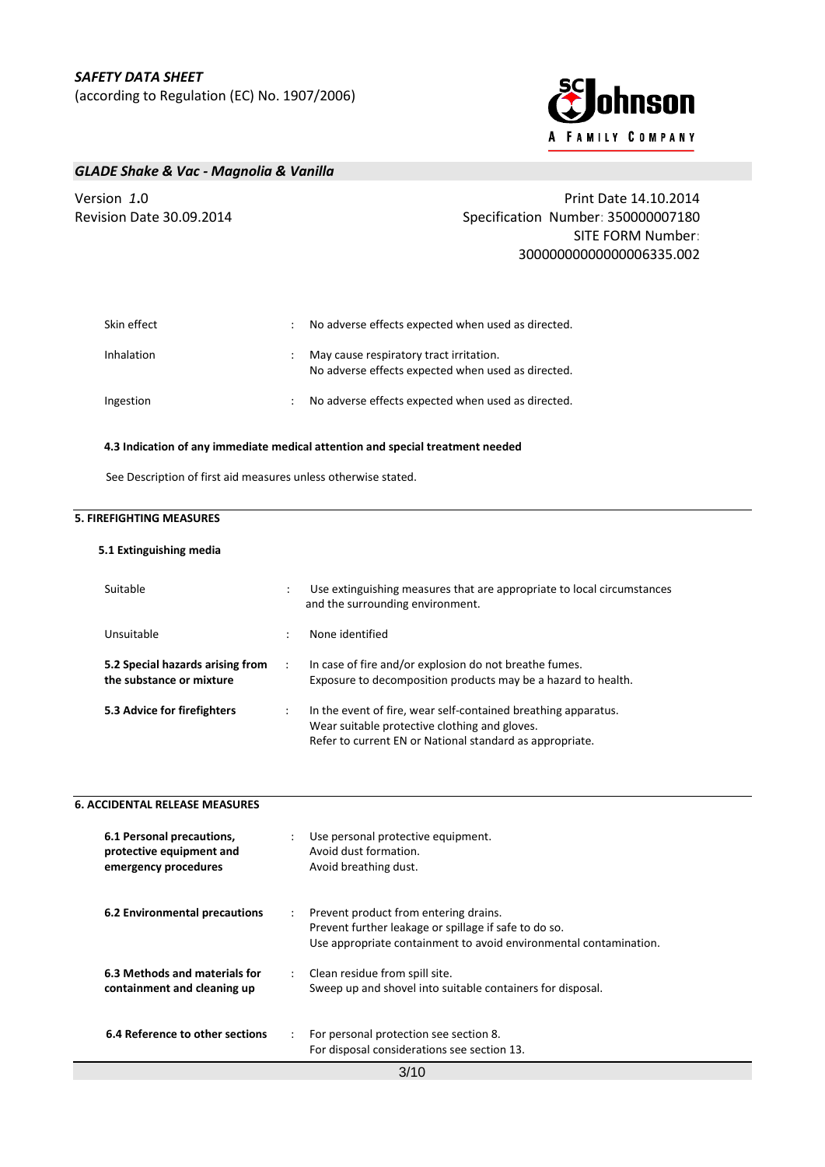

## *GLADE Shake & Vac - Magnolia & Vanilla*

| Version <i>1</i> .0      | Print Date 14.10.2014                              |
|--------------------------|----------------------------------------------------|
| Revision Date 30.09.2014 | Specification Number: 350000007180                 |
|                          | <b>SITE FORM Number:</b>                           |
|                          | 30000000000000006335.002                           |
|                          |                                                    |
|                          |                                                    |
| Skin effect              | No adverse effects expected when used as directed. |

Inhalation : May cause respiratory tract irritation. No adverse effects expected when used as directed. Ingestion **interestion** : No adverse effects expected when used as directed.

### **4.3 Indication of any immediate medical attention and special treatment needed**

See Description of first aid measures unless otherwise stated.

## **5. FIREFIGHTING MEASURES**

### **5.1 Extinguishing media**

| Suitable                                                     | $\ddot{\cdot}$ | Use extinguishing measures that are appropriate to local circumstances<br>and the surrounding environment.                                                                  |
|--------------------------------------------------------------|----------------|-----------------------------------------------------------------------------------------------------------------------------------------------------------------------------|
| Unsuitable                                                   | $\bullet$      | None identified                                                                                                                                                             |
| 5.2 Special hazards arising from<br>the substance or mixture |                | In case of fire and/or explosion do not breathe fumes.<br>Exposure to decomposition products may be a hazard to health.                                                     |
| 5.3 Advice for firefighters                                  | $\ddot{\cdot}$ | In the event of fire, wear self-contained breathing apparatus.<br>Wear suitable protective clothing and gloves.<br>Refer to current EN or National standard as appropriate. |

| <b>6. ACCIDENTAL RELEASE MEASURES</b>                                         |                                                                                                                                                                     |
|-------------------------------------------------------------------------------|---------------------------------------------------------------------------------------------------------------------------------------------------------------------|
| 6.1 Personal precautions,<br>protective equipment and<br>emergency procedures | Use personal protective equipment.<br>Avoid dust formation.<br>Avoid breathing dust.                                                                                |
| 6.2 Environmental precautions                                                 | Prevent product from entering drains.<br>Prevent further leakage or spillage if safe to do so.<br>Use appropriate containment to avoid environmental contamination. |
| 6.3 Methods and materials for<br>containment and cleaning up                  | : Clean residue from spill site.<br>Sweep up and shovel into suitable containers for disposal.                                                                      |
| 6.4 Reference to other sections                                               | For personal protection see section 8.<br>For disposal considerations see section 13.                                                                               |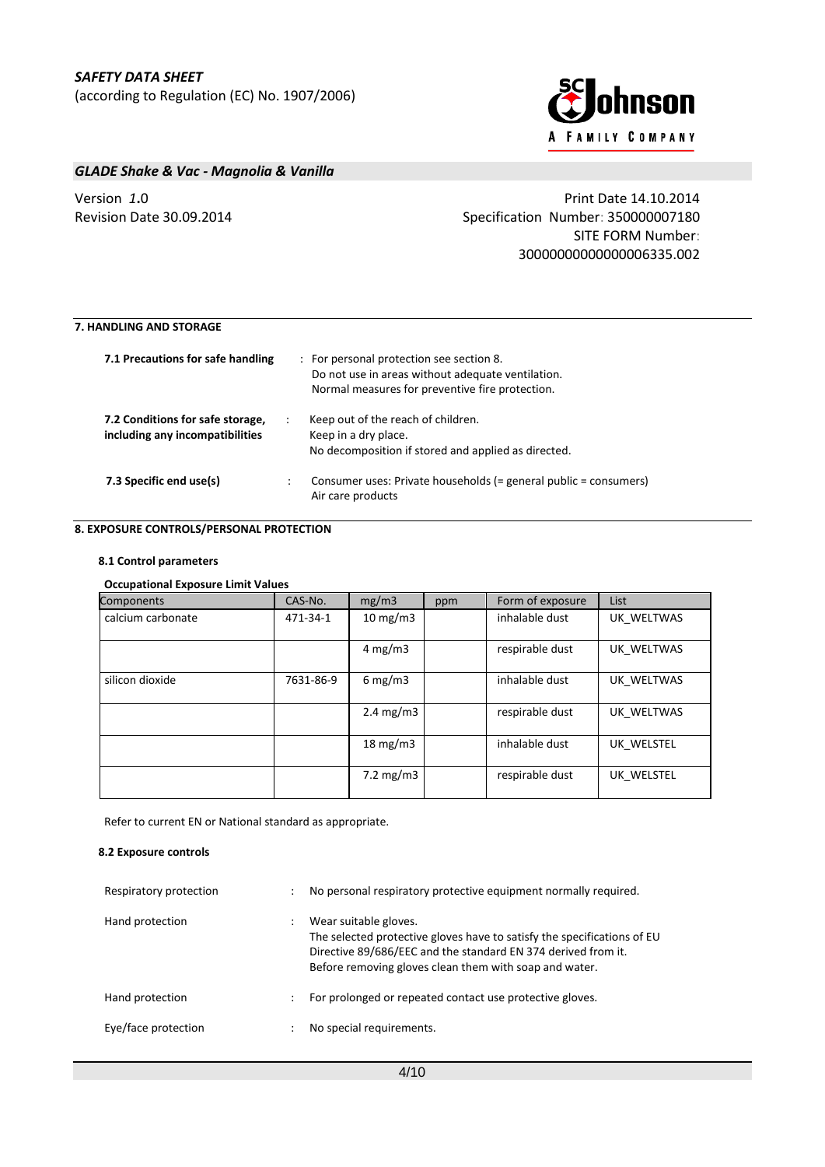

# *GLADE Shake & Vac - Magnolia & Vanilla*

# Version *1***.**0 Print Date 14.10.2014 Revision Date 30.09.2014 Specification Number: 350000007180 SITE FORM Number: 30000000000000006335.002

# **7. HANDLING AND STORAGE**

| 7.1 Precautions for safe handling                                   | : For personal protection see section 8.<br>Do not use in areas without adequate ventilation.<br>Normal measures for preventive fire protection. |
|---------------------------------------------------------------------|--------------------------------------------------------------------------------------------------------------------------------------------------|
| 7.2 Conditions for safe storage,<br>including any incompatibilities | Keep out of the reach of children.<br>Keep in a dry place.<br>No decomposition if stored and applied as directed.                                |
| 7.3 Specific end use(s)                                             | Consumer uses: Private households (= general public = consumers)<br>Air care products                                                            |

## **8. EXPOSURE CONTROLS/PERSONAL PROTECTION**

### **8.1 Control parameters**

## **Occupational Exposure Limit Values**

| Components        | CAS-No.   | mg/m3                       | ppm | Form of exposure | List       |
|-------------------|-----------|-----------------------------|-----|------------------|------------|
| calcium carbonate | 471-34-1  | $10 \text{ mg/m}$           |     | inhalable dust   | UK WELTWAS |
|                   |           | $4 \text{ mg/m}$            |     | respirable dust  | UK WELTWAS |
| silicon dioxide   | 7631-86-9 | 6 mg/m $3$                  |     | inhalable dust   | UK WELTWAS |
|                   |           | $2.4 \text{ mg/m}$          |     | respirable dust  | UK WELTWAS |
|                   |           | $18 \text{ mg/m}$           |     | inhalable dust   | UK WELSTEL |
|                   |           | $7.2 \text{ mg}/\text{m}$ 3 |     | respirable dust  | UK WELSTEL |

Refer to current EN or National standard as appropriate.

### **8.2 Exposure controls**

| Respiratory protection | ÷ | No personal respiratory protective equipment normally required.                                                                                                                                                             |
|------------------------|---|-----------------------------------------------------------------------------------------------------------------------------------------------------------------------------------------------------------------------------|
| Hand protection        |   | Wear suitable gloves.<br>The selected protective gloves have to satisfy the specifications of EU<br>Directive 89/686/EEC and the standard EN 374 derived from it.<br>Before removing gloves clean them with soap and water. |
| Hand protection        | ÷ | For prolonged or repeated contact use protective gloves.                                                                                                                                                                    |
| Eye/face protection    |   | No special requirements.                                                                                                                                                                                                    |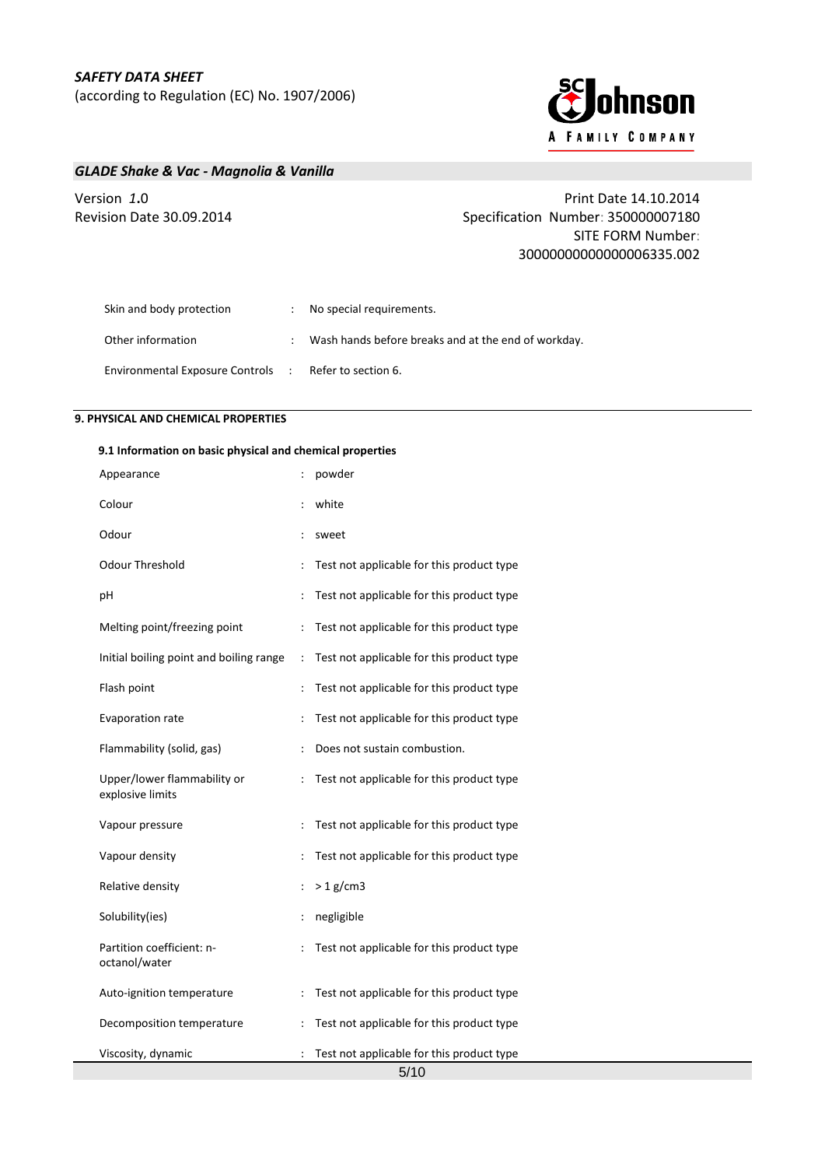

# *GLADE Shake & Vac - Magnolia & Vanilla*

# Version *1***.**0 Print Date 14.10.2014 Revision Date 30.09.2014 Specification Number: 350000007180 SITE FORM Number: 30000000000000006335.002

| Skin and body protection          | : No special requirements.                          |
|-----------------------------------|-----------------------------------------------------|
| Other information                 | Wash hands before breaks and at the end of workday. |
| Environmental Exposure Controls : | Refer to section 6.                                 |

# **9. PHYSICAL AND CHEMICAL PROPERTIES**

### **9.1 Information on basic physical and chemical properties**

| Appearance                                      |                      | powder                                                    |
|-------------------------------------------------|----------------------|-----------------------------------------------------------|
| Colour                                          |                      | white                                                     |
| Odour                                           |                      | sweet                                                     |
| Odour Threshold                                 | $\ddot{\phantom{0}}$ | Test not applicable for this product type                 |
| рH                                              |                      | Test not applicable for this product type                 |
| Melting point/freezing point                    | $\ddot{\cdot}$       | Test not applicable for this product type                 |
| Initial boiling point and boiling range         | $\ddot{\cdot}$       | Test not applicable for this product type                 |
| Flash point                                     | $\vdots$             | Test not applicable for this product type                 |
| Evaporation rate                                | $\ddot{\cdot}$       | Test not applicable for this product type                 |
| Flammability (solid, gas)                       |                      | Does not sustain combustion.                              |
| Upper/lower flammability or<br>explosive limits | $\ddot{\cdot}$       | Test not applicable for this product type                 |
| Vapour pressure                                 |                      | Test not applicable for this product type                 |
| Vapour density                                  |                      | Test not applicable for this product type                 |
| Relative density                                | $\ddot{\cdot}$       | $> 1$ g/cm3                                               |
| Solubility(ies)                                 | $\ddot{\phantom{0}}$ | negligible                                                |
| Partition coefficient: n-<br>octanol/water      |                      | Test not applicable for this product type                 |
| Auto-ignition temperature                       | $\ddot{\cdot}$       | Test not applicable for this product type                 |
| Decomposition temperature                       | $\ddot{\cdot}$       | Test not applicable for this product type                 |
| Viscosity, dynamic                              | $\ddot{\cdot}$       | Test not applicable for this product type<br>$F/4$ $\cap$ |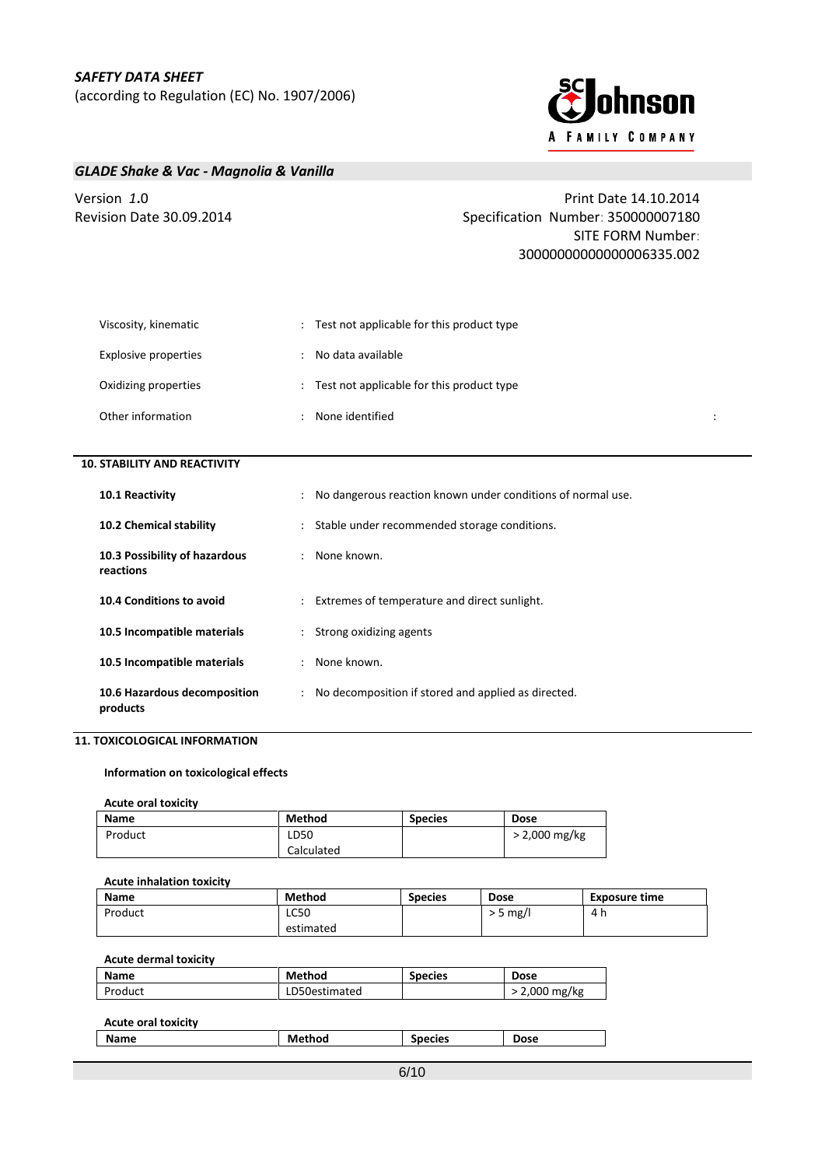

# *GLADE Shake & Vac - Magnolia & Vanilla*

Version *1***.**0 Print Date 14.10.2014 Revision Date 30.09.2014 Specification Number: 350000007180 SITE FORM Number: 30000000000000006335.002

| Viscosity, kinematic        | Test not applicable for this product type |  |  |
|-----------------------------|-------------------------------------------|--|--|
| <b>Explosive properties</b> | No data available                         |  |  |
| Oxidizing properties        | Test not applicable for this product type |  |  |
| Other information           | None identified                           |  |  |

## **10. STABILITY AND REACTIVITY**

| 10.1 Reactivity                            | : No dangerous reaction known under conditions of normal use. |
|--------------------------------------------|---------------------------------------------------------------|
| 10.2 Chemical stability                    | : Stable under recommended storage conditions.                |
| 10.3 Possibility of hazardous<br>reactions | : None known.                                                 |
| 10.4 Conditions to avoid                   | : Extremes of temperature and direct sunlight.                |
| 10.5 Incompatible materials                | : Strong oxidizing agents                                     |
| 10.5 Incompatible materials                | : None known.                                                 |
| 10.6 Hazardous decomposition<br>products   | : No decomposition if stored and applied as directed.         |

## **11. TOXICOLOGICAL INFORMATION**

**Information on toxicological effects**

#### **Acute oral toxicity**

| Name    | Method     | <b>Species</b> | <b>Dose</b>     |
|---------|------------|----------------|-----------------|
| Product | ∟D50       |                | $> 2,000$ mg/kg |
|         | Calculated |                |                 |

## **Acute inhalation toxicity**

| <b>Name</b> | Method      | <b>Species</b> | Dose       | <b>Exposure time</b> |
|-------------|-------------|----------------|------------|----------------------|
| Product     | <b>LC50</b> |                | $>$ 5 mg/l | 4 h                  |
|             | estimated   |                |            |                      |

## **Acute dermal toxicity**

| <b>Name</b> | <b>Method</b> | <b>Species</b> | <b>Dose</b>    |
|-------------|---------------|----------------|----------------|
| Product     | LD50estimated |                | mg/kg<br>2,000 |

| <b>Acute oral toxicity</b> |        |                |             |
|----------------------------|--------|----------------|-------------|
| Name                       | Method | <b>Species</b> | <b>Dose</b> |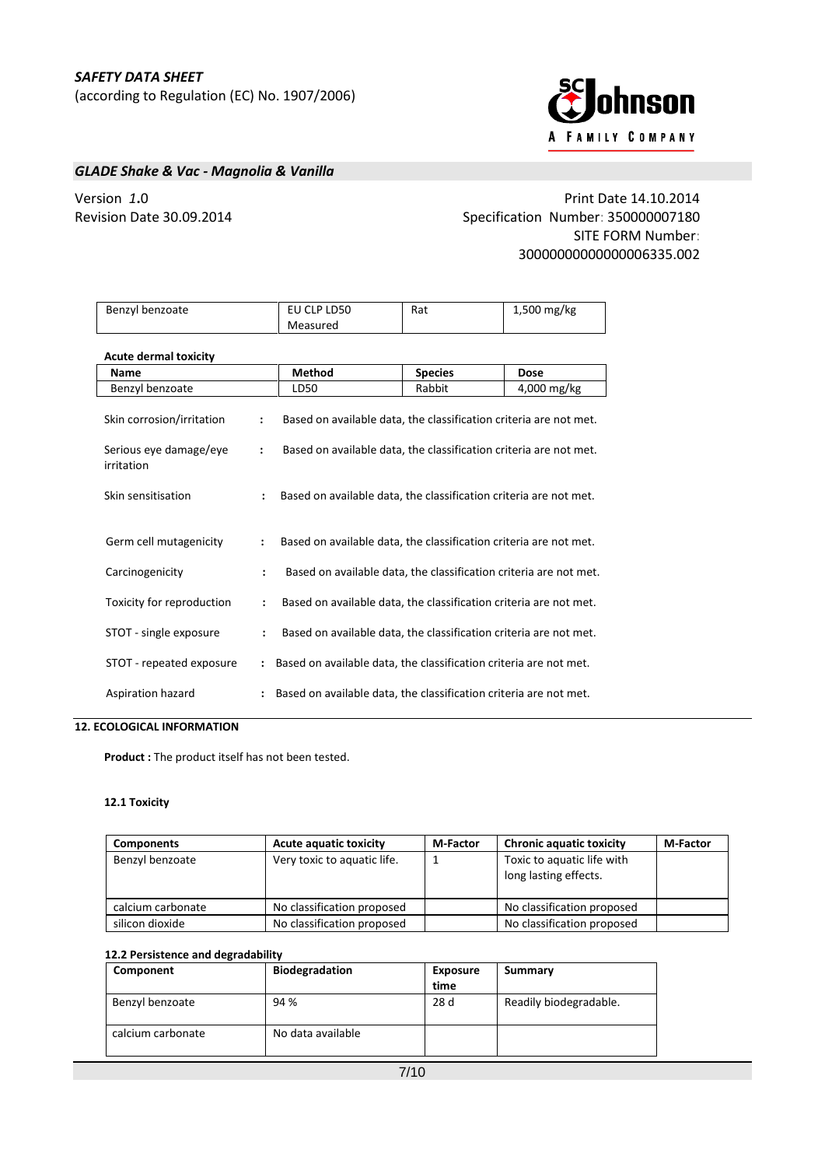

# *GLADE Shake & Vac - Magnolia & Vanilla*

Version *1***.**0 Print Date 14.10.2014 Revision Date 30.09.2014 Specification Number: 350000007180 SITE FORM Number: 30000000000000006335.002

| Benzyl benzoate                      |                                                                                     | EU CLP LD50                                                       | Rat            | 1,500 mg/kg |
|--------------------------------------|-------------------------------------------------------------------------------------|-------------------------------------------------------------------|----------------|-------------|
|                                      |                                                                                     | Measured                                                          |                |             |
| <b>Acute dermal toxicity</b>         |                                                                                     |                                                                   |                |             |
| Name                                 |                                                                                     | <b>Method</b>                                                     | <b>Species</b> | <b>Dose</b> |
| Benzyl benzoate                      |                                                                                     | LD50                                                              | Rabbit         | 4,000 mg/kg |
| Skin corrosion/irritation            | $\ddot{\phantom{a}}$                                                                | Based on available data, the classification criteria are not met. |                |             |
| Serious eye damage/eye<br>irritation | :                                                                                   | Based on available data, the classification criteria are not met. |                |             |
| Skin sensitisation                   | $\ddot{\cdot}$                                                                      | Based on available data, the classification criteria are not met. |                |             |
| Germ cell mutagenicity               | Based on available data, the classification criteria are not met.<br>$\ddot{\cdot}$ |                                                                   |                |             |
| Carcinogenicity                      | Based on available data, the classification criteria are not met.<br>$\ddot{\cdot}$ |                                                                   |                |             |
| Toxicity for reproduction            | Based on available data, the classification criteria are not met.<br>$\ddot{\cdot}$ |                                                                   |                |             |
| STOT - single exposure               | $\ddot{\cdot}$                                                                      | Based on available data, the classification criteria are not met. |                |             |
| STOT - repeated exposure             |                                                                                     | Based on available data, the classification criteria are not met. |                |             |
| Aspiration hazard                    |                                                                                     | Based on available data, the classification criteria are not met. |                |             |

# **12. ECOLOGICAL INFORMATION**

**Product :** The product itself has not been tested.

## **12.1 Toxicity**

| <b>Components</b> | <b>Acute aquatic toxicity</b> | <b>M-Factor</b> | <b>Chronic aquatic toxicity</b>                     | <b>M-Factor</b> |
|-------------------|-------------------------------|-----------------|-----------------------------------------------------|-----------------|
| Benzyl benzoate   | Very toxic to aquatic life.   |                 | Toxic to aquatic life with<br>long lasting effects. |                 |
| calcium carbonate | No classification proposed    |                 | No classification proposed                          |                 |
| silicon dioxide   | No classification proposed    |                 | No classification proposed                          |                 |

### **12.2 Persistence and degradability**

| Component         | <b>Biodegradation</b> | <b>Exposure</b><br>time | Summary                |
|-------------------|-----------------------|-------------------------|------------------------|
| Benzyl benzoate   | 94 %                  | 28 d                    | Readily biodegradable. |
| calcium carbonate | No data available     |                         |                        |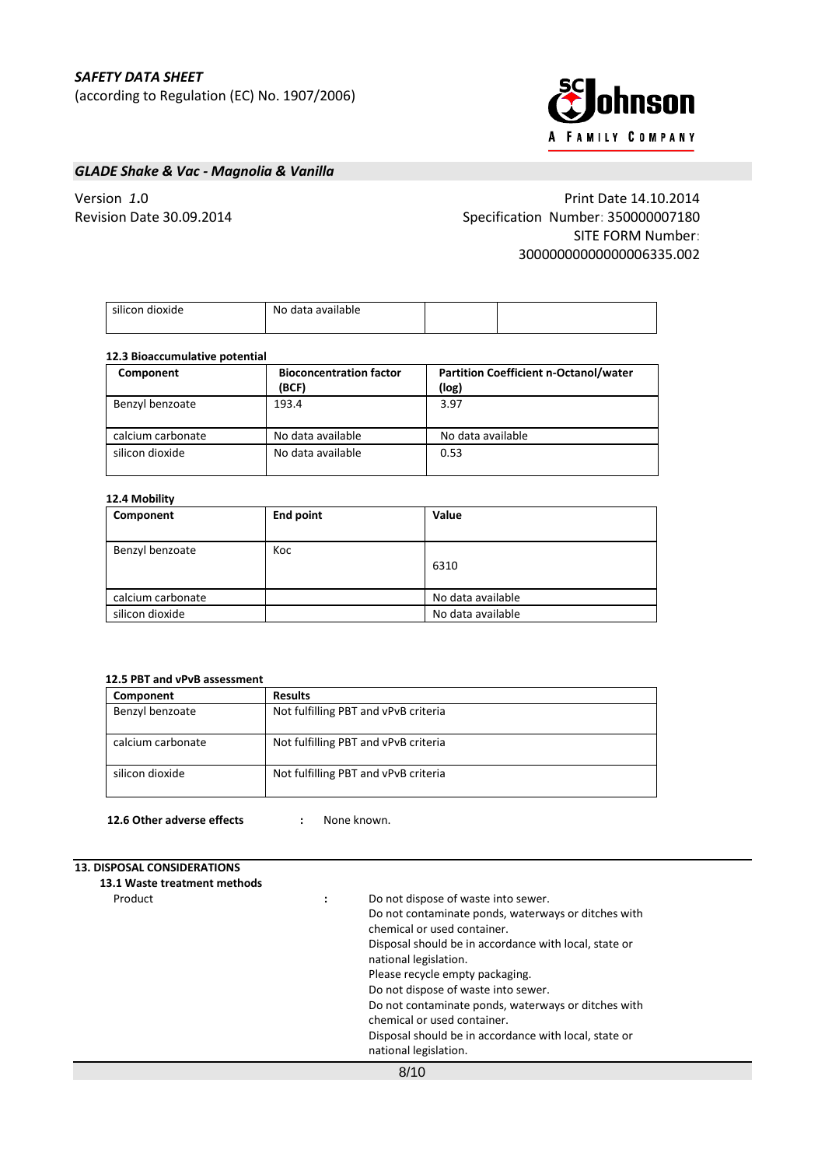# *SAFETY DATA SHEET*

(according to Regulation (EC) No. 1907/2006)



# *GLADE Shake & Vac - Magnolia & Vanilla*

Version *1***.**0 Print Date 14.10.2014 Revision Date 30.09.2014 Specification Number: 350000007180 SITE FORM Number: 30000000000000006335.002

| silicon dioxide | No data available |  |
|-----------------|-------------------|--|
|                 |                   |  |
|                 |                   |  |

### **12.3 Bioaccumulative potential**

| Component         | <b>Bioconcentration factor</b><br>(BCF) | <b>Partition Coefficient n-Octanol/water</b><br>(log) |  |  |  |  |
|-------------------|-----------------------------------------|-------------------------------------------------------|--|--|--|--|
| Benzyl benzoate   | 193.4                                   | 3.97                                                  |  |  |  |  |
| calcium carbonate | No data available                       | No data available                                     |  |  |  |  |
| silicon dioxide   | No data available                       | 0.53                                                  |  |  |  |  |

### **12.4 Mobility**

| Component         | <b>End point</b> | Value             |
|-------------------|------------------|-------------------|
| Benzyl benzoate   | Koc              | 6310              |
| calcium carbonate |                  | No data available |
| silicon dioxide   |                  | No data available |

## **12.5 PBT and vPvB assessment**

| Component         | <b>Results</b>                       |
|-------------------|--------------------------------------|
| Benzyl benzoate   | Not fulfilling PBT and vPvB criteria |
| calcium carbonate | Not fulfilling PBT and vPvB criteria |
| silicon dioxide   | Not fulfilling PBT and vPvB criteria |

**12.6 Other adverse effects :** None known.

## **13. DISPOSAL CONSIDERATIONS**

| 13.1 Waste treatment methods |                                                       |
|------------------------------|-------------------------------------------------------|
| Product                      | Do not dispose of waste into sewer.                   |
|                              | Do not contaminate ponds, waterways or ditches with   |
|                              | chemical or used container.                           |
|                              | Disposal should be in accordance with local, state or |
|                              | national legislation.                                 |
|                              | Please recycle empty packaging.                       |
|                              | Do not dispose of waste into sewer.                   |
|                              | Do not contaminate ponds, waterways or ditches with   |
|                              | chemical or used container.                           |
|                              | Disposal should be in accordance with local, state or |
|                              | national legislation.                                 |
|                              | 8/10                                                  |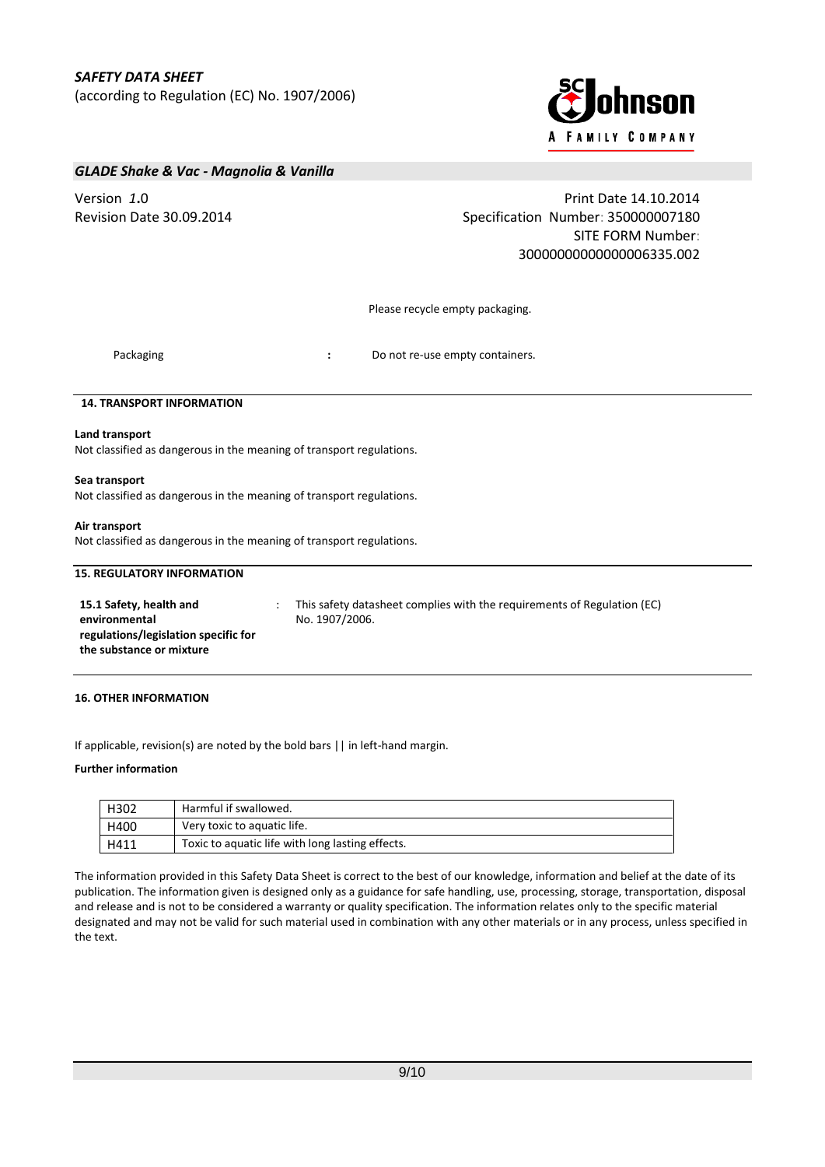

## *GLADE Shake & Vac - Magnolia & Vanilla*

Version *1***.**0 Print Date 14.10.2014 Revision Date 30.09.2014 **Specification Number: 350000007180** Specification Number: 350000007180 SITE FORM Number: 30000000000000006335.002

Please recycle empty packaging.

Packaging **Packaging <b>State of Accord**  $\cdot$  Do not re-use empty containers.

### **14. TRANSPORT INFORMATION**

#### **Land transport**

Not classified as dangerous in the meaning of transport regulations.

#### **Sea transport**

Not classified as dangerous in the meaning of transport regulations.

#### **Air transport**

Not classified as dangerous in the meaning of transport regulations.

## **15. REGULATORY INFORMATION**

| 15.1 Safety, health and              |
|--------------------------------------|
| environmental                        |
| regulations/legislation specific for |
| the substance or mixture             |

: This safety datasheet complies with the requirements of Regulation (EC) No. 1907/2006.

### **16. OTHER INFORMATION**

If applicable, revision(s) are noted by the bold bars || in left-hand margin.

### **Further information**

| H302 | Harmful if swallowed.                            |
|------|--------------------------------------------------|
| H400 | Very toxic to aquatic life.                      |
| H411 | Toxic to aquatic life with long lasting effects. |

The information provided in this Safety Data Sheet is correct to the best of our knowledge, information and belief at the date of its publication. The information given is designed only as a guidance for safe handling, use, processing, storage, transportation, disposal and release and is not to be considered a warranty or quality specification. The information relates only to the specific material designated and may not be valid for such material used in combination with any other materials or in any process, unless specified in the text.